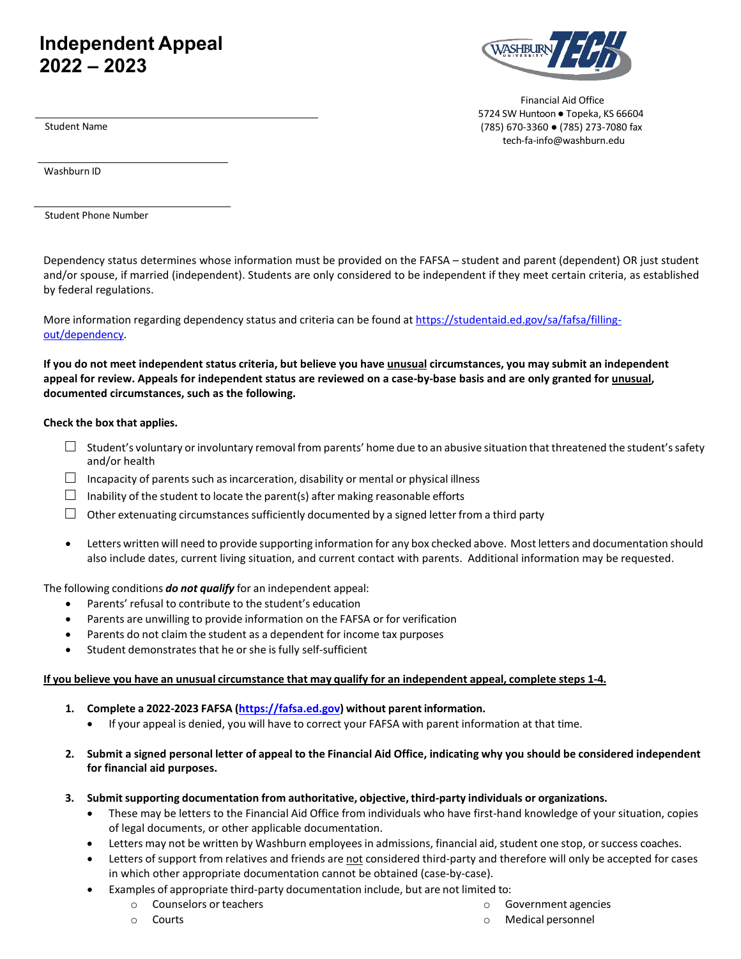# **Independent Appeal 2022 – 2023**



Financial Aid Office 5724 SW Huntoon . Topeka, KS 66604 (785) 670-3360 ● (785) 273-7080 fax [tech-fa-info@washburn.edu](mailto:financialaid@washburn.edu)

Student Name

Washburn ID

Student Phone Number

Dependency status determines whose information must be provided on the FAFSA – student and parent (dependent) OR just student and/or spouse, if married (independent). Students are only considered to be independent if they meet certain criteria, as established by federal regulations.

More information regarding dependency status and criteria can be found at [https://studentaid.ed.gov/sa/fafsa/filling](https://studentaid.ed.gov/sa/fafsa/filling-out/dependency)[out/dependency.](https://studentaid.ed.gov/sa/fafsa/filling-out/dependency)

If you do not meet independent status criteria, but believe you have unusual circumstances, you may submit an independent **appeal for review. Appeals for independent status are reviewed on a case-by-base basis and are only granted for unusual, documented circumstances, such as the following.**

## **Check the box that applies.**

- $\Box$  Student's voluntary or involuntary removal from parents' home due to an abusive situation that threatened the student's safety and/or health
- $\Box$  Incapacity of parents such as incarceration, disability or mental or physical illness
- $\Box$  Inability of the student to locate the parent(s) after making reasonable efforts
- $\Box$  Other extenuating circumstances sufficiently documented by a signed letter from a third party
- Letters written will need to provide supporting information for any box checked above. Most letters and documentation should also include dates, current living situation, and current contact with parents. Additional information may be requested.

The following conditions *do not qualify* for an independent appeal:

- Parents' refusal to contribute to the student's education
- Parents are unwilling to provide information on the FAFSA or for verification
- Parents do not claim the student as a dependent for income tax purposes
- Student demonstrates that he or she is fully self-sufficient

### If you believe you have an unusual circumstance that may qualify for an independent appeal, complete steps 1-4.

- **1. Complete a 2022-2023 FAFSA [\(https://fafsa.ed.gov\)](https://fafsa.ed.gov/) without parent information.**
	- If your appeal is denied, you will have to correct your FAFSA with parent information at that time.
- 2. Submit a signed personal letter of appeal to the Financial Aid Office, indicating why you should be considered independent **for financial aid purposes.**
- **3. Submitsupporting documentation from authoritative, objective, third-party individuals or organizations.**
	- These may be letters to the Financial Aid Office from individuals who have first-hand knowledge of your situation, copies of legal documents, or other applicable documentation.
	- Letters may not be written by Washburn employees in admissions, financial aid, student one stop, or success coaches.
	- Letters of support from relatives and friends are not considered third-party and therefore will only be accepted for cases in which other appropriate documentation cannot be obtained (case-by-case).
	- Examples of appropriate third-party documentation include, but are not limited to:
		- o Counselors or teachers
		- o Courts
- o Government agencies
- o Medical personnel